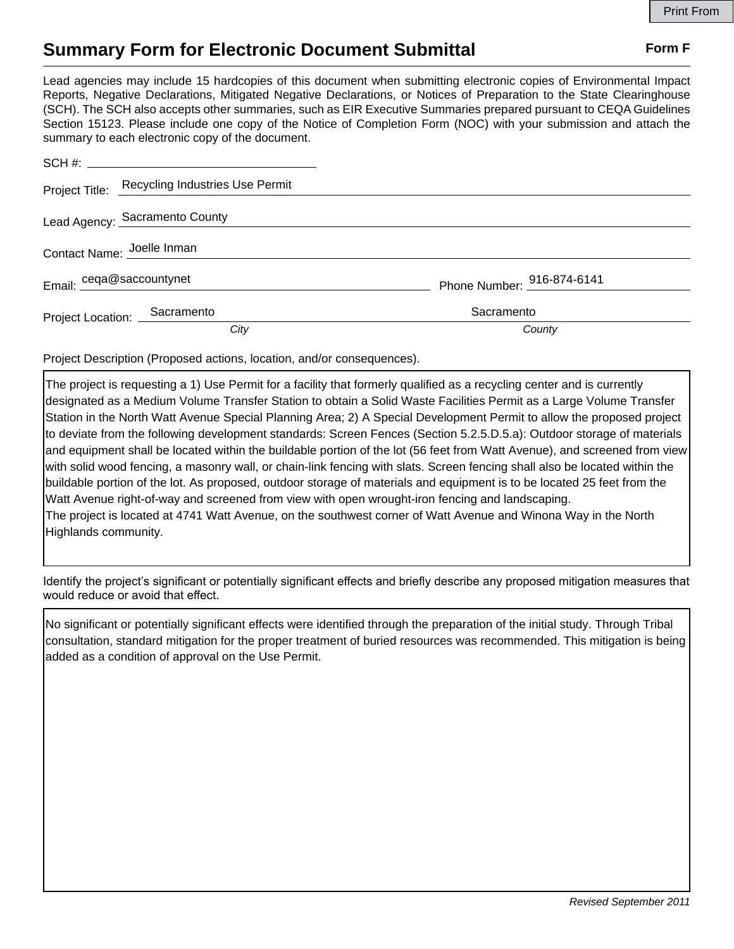## **Summary Form for Electronic Document Submittal Form F Form F**

Lead agencies may include 15 hardcopies of this document when submitting electronic copies of Environmental Impact Reports, Negative Declarations, Mitigated Negative Declarations, or Notices of Preparation to the State Clearinghouse (SCH). The SCH also accepts other summaries, such as EIR Executive Summaries prepared pursuant to CEQA Guidelines Section 15123. Please include one copy of the Notice of Completion Form (NOC) with your submission and attach the summary to each electronic copy of the document.

|                              | Project Title: Recycling Industries Use Permit |                            |
|------------------------------|------------------------------------------------|----------------------------|
|                              | Lead Agency: Sacramento County                 |                            |
| Contact Name: Joelle Inman   |                                                |                            |
| Email: ceqa@saccountynet     |                                                | Phone Number: 916-874-6141 |
| Project Location: Sacramento |                                                | Sacramento                 |
|                              | City                                           | County                     |

Project Description (Proposed actions, location, and/or consequences).

The project is requesting a 1) Use Permit for a facility that formerly qualified as a recycling center and is currently designated as a Medium Volume Transfer Station to obtain a Solid Waste Facilities Permit as a Large Volume Transfer Station in the North Watt Avenue Special Planning Area; 2) A Special Development Permit to allow the proposed project to deviate from the following development standards: Screen Fences (Section 5.2.5.D.5.a): Outdoor storage of materials and equipment shall be located within the buildable portion of the lot (56 feet from Watt Avenue), and screened from view with solid wood fencing, a masonry wall, or chain-link fencing with slats. Screen fencing shall also be located within the buildable portion of the lot. As proposed, outdoor storage of materials and equipment is to be located 25 feet from the Watt Avenue right-of-way and screened from view with open wrought-iron fencing and landscaping. The project is located at 4741 Watt Avenue, on the southwest corner of Watt Avenue and Winona Way in the North Highlands community.

Identify the project's significant or potentially significant effects and briefly describe any proposed mitigation measures that would reduce or avoid that effect.

No significant or potentially significant effects were identified through the preparation of the initial study. Through Tribal consultation, standard mitigation for the proper treatment of buried resources was recommended. This mitigation is being added as a condition of approval on the Use Permit.